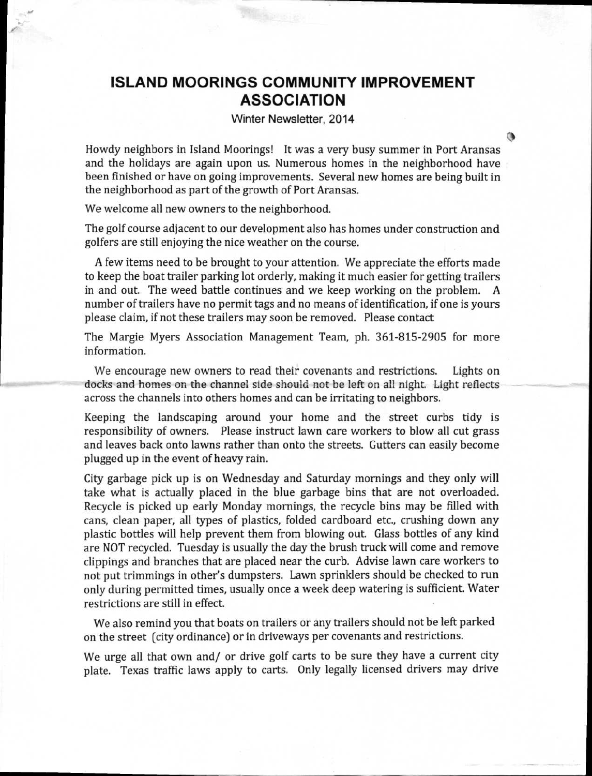## **ISLAND MOORINGS COMMUNITY IMPROVEMENT ASSOCIATION**

## Winter Newsletter, 2014

۰

Howdy neighbors in Island Moorings! It was a very busy summer in Port Aransas and the holidays are again upon us. Numerous homes in the neighborhood have been finished or have on going improvements. Several new homes are being built in the neighborhood as part of the growth of Port Aransas.

We welcome all new owners to the neighborhood.

The golf course adjacent to our development also has homes under construction and golfers are still enjoying the nice weather on the course.

A few items need to be brought to your attention. We appreciate the efforts made to keep the boat trailer parking lot orderly, making it much easier for getting trailers in and out. The weed battle continues and we keep working on the problem. A number of trailers have no permit tags and no means of identification, if one is yours please claim, if not these trailers may soon be removed. Please contact

The Margie Myers Association Management Team, ph. 361-815-2905 for more information.

We encourage new owners to read their covenants and restrictions. Lights on docks and homes on the channel side should not be left on all night. Light reflects across the channels into others homes and can be irritating to neighbors.

Keeping the landscaping around your home and the street curbs tidy is responsibility of owners. Please instruct lawn care workers to blow all cut grass and leaves back onto lawns rather than onto the streets. Gutters can easily become plugged up in the event of heavy rain.

City garbage pick up is on Wednesday and Saturday mornings and they only will take what is actually placed in the blue garbage bins that are not overloaded. Recycle is picked up early Monday mornings, the recycle bins may be filled with cans, clean paper, all types of plastics, folded cardboard etc., crushing down any plastic bottles will help prevent them from blowing out. Glass bottles of any kind are NOT recycled. Tuesday is usually the day the brush truck will come and remove clippings and branches that are placed near the curb. Advise lawn care workers to not put trimmings in other's dumpsters. Lawn sprinklers should be checked to run only during permitted times, usually once a week deep watering is sufficient. Water restrictions are still in effect.

We also remind you that boats on trailers or any trailers should not be left parked on the street (city ordinance) or in driveways per covenants and restrictions.

We urge all that own and/ or drive golf carts to be sure they have a current city plate. Texas traffic laws apply to carts. Only legally licensed drivers may drive